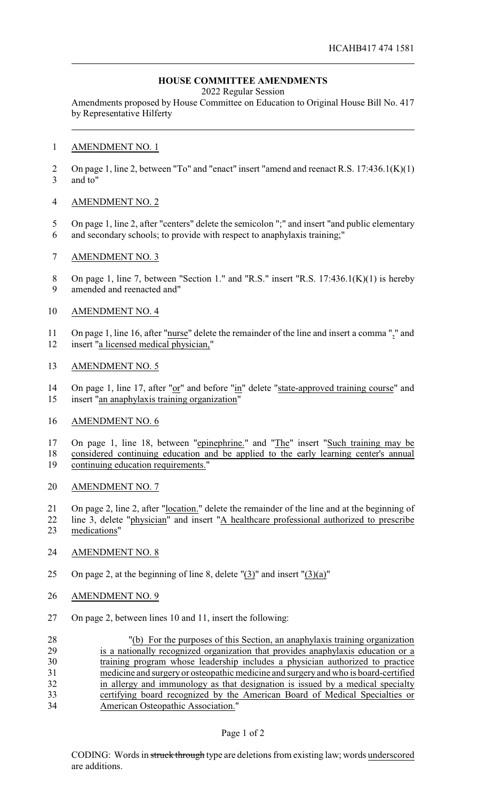# **HOUSE COMMITTEE AMENDMENTS**

2022 Regular Session

Amendments proposed by House Committee on Education to Original House Bill No. 417 by Representative Hilferty

### AMENDMENT NO. 1

 On page 1, line 2, between "To" and "enact" insert "amend and reenact R.S. 17:436.1(K)(1) and to"

## AMENDMENT NO. 2

- On page 1, line 2, after "centers" delete the semicolon ";" and insert "and public elementary
- and secondary schools; to provide with respect to anaphylaxis training;"
- AMENDMENT NO. 3
- 8 On page 1, line 7, between "Section 1." and "R.S." insert "R.S. 17:436.1(K)(1) is hereby amended and reenacted and"

## AMENDMENT NO. 4

 On page 1, line 16, after "nurse" delete the remainder of the line and insert a comma "," and insert "a licensed medical physician,"

### AMENDMENT NO. 5

14 On page 1, line 17, after "or" and before "in" delete "state-approved training course" and insert "an anaphylaxis training organization"

### AMENDMENT NO. 6

17 On page 1, line 18, between "epinephrine." and "The" insert "Such training may be considered continuing education and be applied to the early learning center's annual continuing education requirements."

- AMENDMENT NO. 7
- On page 2, line 2, after "location." delete the remainder of the line and at the beginning of line 3, delete "physician" and insert "A healthcare professional authorized to prescribe medications"
- AMENDMENT NO. 8
- 25 On page 2, at the beginning of line 8, delete  $\Gamma(3)$ " and insert  $\Gamma(3)(a)$ "
- 26 AMENDMENT NO. 9
- On page 2, between lines 10 and 11, insert the following:

| 28 | "(b) For the purposes of this Section, an anaphylaxis training organization         |
|----|-------------------------------------------------------------------------------------|
| 29 | is a nationally recognized organization that provides anaphylaxis education or a    |
| 30 | training program whose leadership includes a physician authorized to practice       |
| 31 | medicine and surgery or osteopathic medicine and surgery and who is board-certified |
| 32 | in allergy and immunology as that designation is issued by a medical specialty      |
| 33 | certifying board recognized by the American Board of Medical Specialties or         |
| 34 | American Osteopathic Association."                                                  |

### Page 1 of 2

CODING: Words in struck through type are deletions from existing law; words underscored are additions.